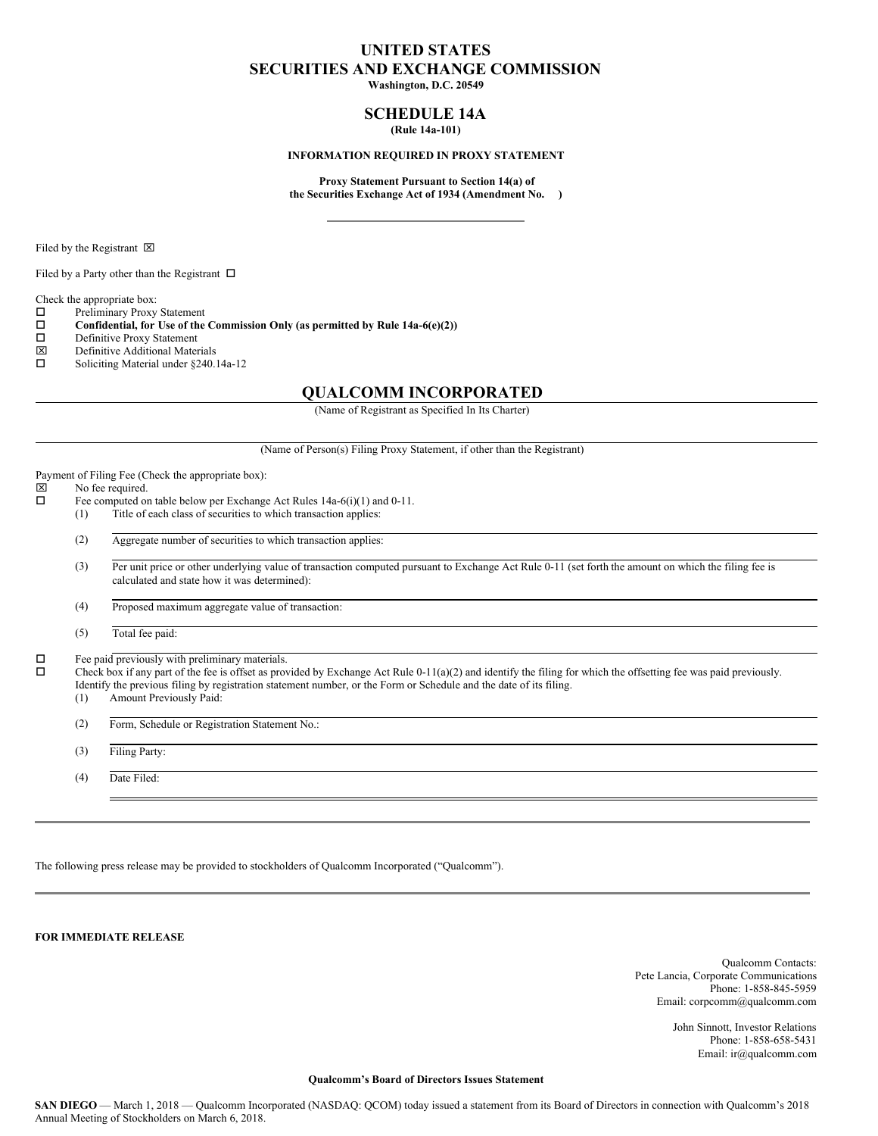### **UNITED STATES SECURITIES AND EXCHANGE COMMISSION**

**Washington, D.C. 20549**

#### **SCHEDULE 14A (Rule 14a-101)**

#### **INFORMATION REQUIRED IN PROXY STATEMENT**

**Proxy Statement Pursuant to Section 14(a) of the Securities Exchange Act of 1934 (Amendment No. )**

Filed by the Registrant  $\boxtimes$ 

Filed by a Party other than the Registrant  $\Box$ 

Check the appropriate box:

 $\square$  Preliminary Proxy Statement<br> $\square$  Confidential, for Use of the

**Confidential, for** Use of the Commission Only (as permitted by Rule 14a-6(e)(2))  $\Box$  Definitive Proxy Statement

- Definitive Proxy Statement
- $\boxtimes$  Definitive Additional Materials<br>  $\square$  Soliciting Material under \$240
- Soliciting Material under §240.14a-12

#### **QUALCOMM INCORPORATED**

(Name of Registrant as Specified In Its Charter)

(Name of Person(s) Filing Proxy Statement, if other than the Registrant)

Payment of Filing Fee (Check the appropriate box):<br> $\boxtimes$  No fee required.

## $\overline{\boxtimes}$  No fee required.<br> $\Box$  Fee computed on

Fee computed on table below per Exchange Act Rules  $14a-6(i)(1)$  and  $0-11$ . (1) Title of each class of securities to which transaction applies:

(2) Aggregate number of securities to which transaction applies:

(3) Per unit price or other underlying value of transaction computed pursuant to Exchange Act Rule 0-11 (set forth the amount on which the filing fee is calculated and state how it was determined):

(4) Proposed maximum aggregate value of transaction:

(5) Total fee paid:

 $\square$  Fee paid previously with preliminary materials.<br> $\square$  Check box if any part of the fee is offset as prov

Check box if any part of the fee is offset as provided by Exchange Act Rule 0-11(a)(2) and identify the filing for which the offsetting fee was paid previously. Identify the previous filing by registration statement number, or the Form or Schedule and the date of its filing.

- (1) Amount Previously Paid:
- (2) Form, Schedule or Registration Statement No.:

(3) Filing Party:

(4) Date Filed:

The following press release may be provided to stockholders of Qualcomm Incorporated ("Qualcomm").

**FOR IMMEDIATE RELEASE**

Qualcomm Contacts: Pete Lancia, Corporate Communications Phone: 1-858-845-5959 Email: corpcomm@qualcomm.com

> John Sinnott, Investor Relations Phone: 1-858-658-5431 Email: ir@qualcomm.com

#### **Qualcomm's Board of Directors Issues Statement**

**SAN DIEGO** — March 1, 2018 — Qualcomm Incorporated (NASDAQ: QCOM) today issued a statement from its Board of Directors in connection with Qualcomm's 2018 Annual Meeting of Stockholders on March 6, 2018.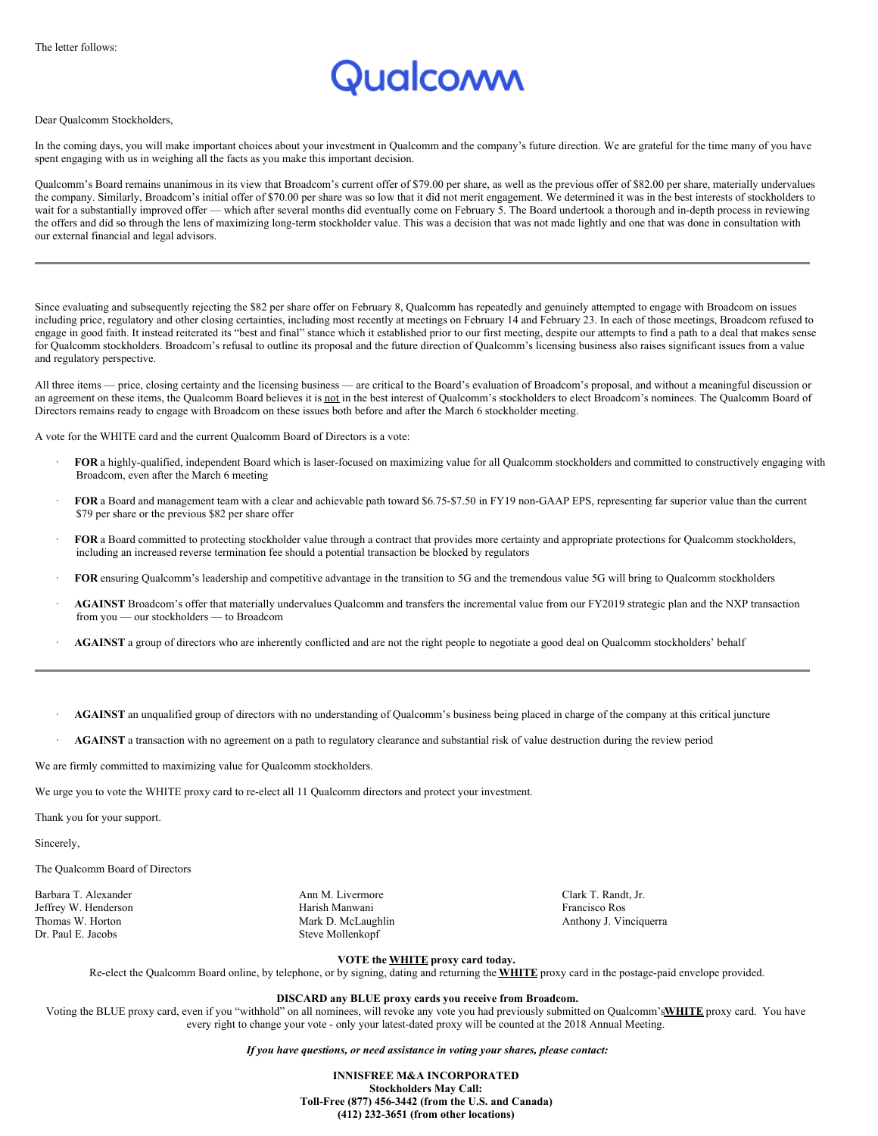# ualcoww

#### Dear Qualcomm Stockholders,

In the coming days, you will make important choices about your investment in Qualcomm and the company's future direction. We are grateful for the time many of you have spent engaging with us in weighing all the facts as you make this important decision.

Qualcomm's Board remains unanimous in its view that Broadcom's current offer of \$79.00 per share, as well as the previous offer of \$82.00 per share, materially undervalues the company. Similarly, Broadcom's initial offer of \$70.00 per share was so low that it did not merit engagement. We determined it was in the best interests of stockholders to wait for a substantially improved offer — which after several months did eventually come on February 5. The Board undertook a thorough and in-depth process in reviewing the offers and did so through the lens of maximizing long-term stockholder value. This was a decision that was not made lightly and one that was done in consultation with our external financial and legal advisors.

Since evaluating and subsequently rejecting the \$82 per share offer on February 8, Qualcomm has repeatedly and genuinely attempted to engage with Broadcom on issues including price, regulatory and other closing certainties, including most recently at meetings on February 14 and February 23. In each of those meetings, Broadcom refused to engage in good faith. It instead reiterated its "best and final" stance which it established prior to our first meeting, despite our attempts to find a path to a deal that makes sense for Qualcomm stockholders. Broadcom's refusal to outline its proposal and the future direction of Qualcomm's licensing business also raises significant issues from a value and regulatory perspective.

All three items — price, closing certainty and the licensing business — are critical to the Board's evaluation of Broadcom's proposal, and without a meaningful discussion or an agreement on these items, the Qualcomm Board believes it is not in the best interest of Qualcomm's stockholders to elect Broadcom's nominees. The Qualcomm Board of Directors remains ready to engage with Broadcom on these issues both before and after the March 6 stockholder meeting.

A vote for the WHITE card and the current Qualcomm Board of Directors is a vote:

- · **FOR** a highly-qualified, independent Board which is laser-focused on maximizing value for all Qualcomm stockholders and committed to constructively engaging with Broadcom, even after the March 6 meeting
- · **FOR** a Board and management team with a clear and achievable path toward \$6.75-\$7.50 in FY19 non-GAAP EPS, representing far superior value than the current \$79 per share or the previous \$82 per share offer
- · **FOR** a Board committed to protecting stockholder value through a contract that provides more certainty and appropriate protections for Qualcomm stockholders, including an increased reverse termination fee should a potential transaction be blocked by regulators
- · **FOR** ensuring Qualcomm's leadership and competitive advantage in the transition to 5G and the tremendous value 5G will bring to Qualcomm stockholders
- AGAINST Broadcom's offer that materially undervalues Qualcomm and transfers the incremental value from our FY2019 strategic plan and the NXP transaction from you — our stockholders — to Broadcom
- AGAINST a group of directors who are inherently conflicted and are not the right people to negotiate a good deal on Qualcomm stockholders' behalf
- · **AGAINST** an unqualified group of directors with no understanding of Qualcomm's business being placed in charge of the company at this critical juncture
- AGAINST a transaction with no agreement on a path to regulatory clearance and substantial risk of value destruction during the review period

We are firmly committed to maximizing value for Qualcomm stockholders.

We urge you to vote the WHITE proxy card to re-elect all 11 Qualcomm directors and protect your investment.

Thank you for your support.

Sincerely,

The Qualcomm Board of Directors

Barbara T. Alexander **Ann M. Livermore** Ann M. Livermore Clark T. Randt, Jr. Jeffrey W. Henderson Harish Manwani Francisco Ros Dr. Paul E. Jacobs Steve Mollenkopf

Mark D. McLaughlin Anthony J. Vinciquerra

**VOTE the WHITE proxy card today.**

Re-elect the Qualcomm Board online, by telephone, or by signing, dating and returning the **WHITE** proxy card in the postage-paid envelope provided.

#### **DISCARD any BLUE proxy cards you receive from Broadcom.**

Voting the BLUE proxy card, even if you "withhold" on all nominees, will revoke any vote you had previously submitted on Qualcomm's**WHITE** proxy card. You have every right to change your vote - only your latest-dated proxy will be counted at the 2018 Annual Meeting.

*If you have questions, or need assistance in voting your shares, please contact:*

**INNISFREE M&A INCORPORATED Stockholders May Call: Toll-Free (877) 456-3442 (from the U.S. and Canada) (412) 232-3651 (from other locations)**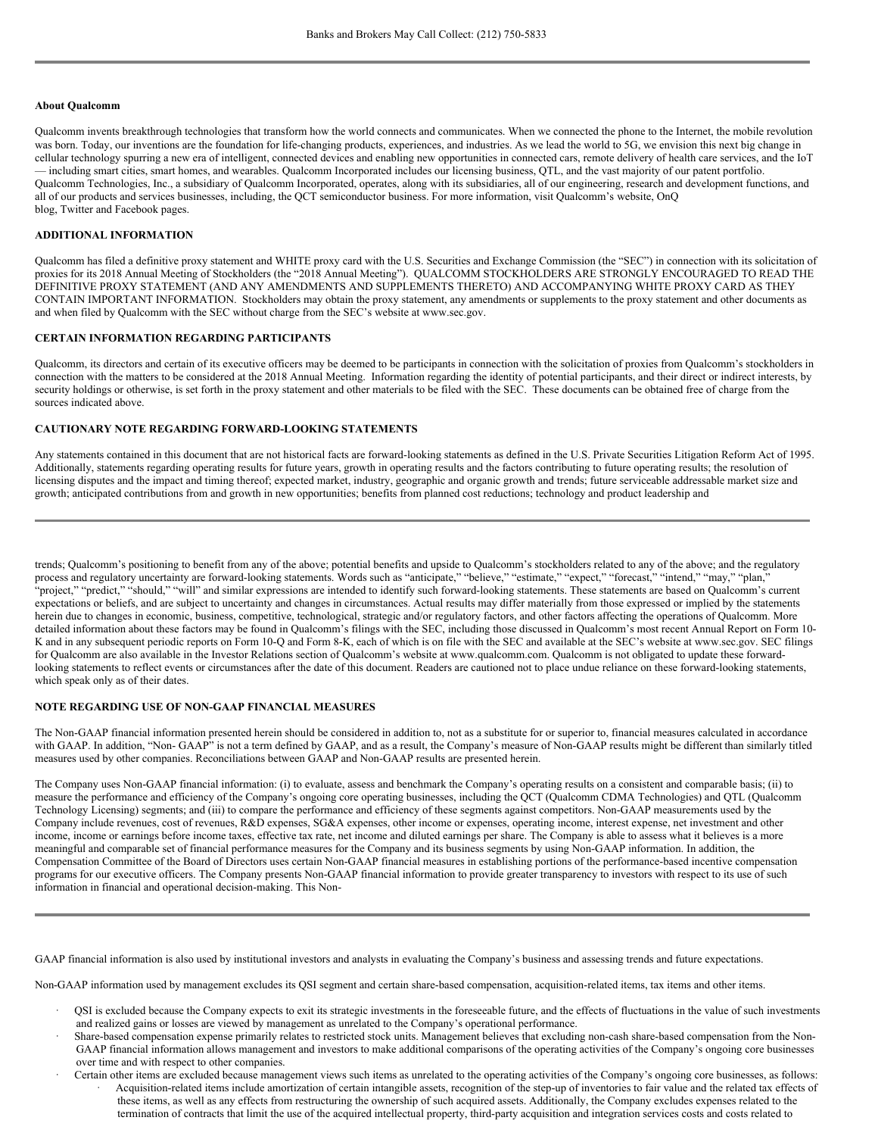#### **About Qualcomm**

Qualcomm invents breakthrough technologies that transform how the world connects and communicates. When we connected the phone to the Internet, the mobile revolution was born. Today, our inventions are the foundation for life-changing products, experiences, and industries. As we lead the world to 5G, we envision this next big change in cellular technology spurring a new era of intelligent, connected devices and enabling new opportunities in connected cars, remote delivery of health care services, and the IoT — including smart cities, smart homes, and wearables. Qualcomm Incorporated includes our licensing business, QTL, and the vast majority of our patent portfolio. Qualcomm Technologies, Inc., a subsidiary of Qualcomm Incorporated, operates, along with its subsidiaries, all of our engineering, research and development functions, and all of our products and services businesses, including, the QCT semiconductor business. For more information, visit Qualcomm's website, OnQ blog, Twitter and Facebook pages.

#### **ADDITIONAL INFORMATION**

Qualcomm has filed a definitive proxy statement and WHITE proxy card with the U.S. Securities and Exchange Commission (the "SEC") in connection with its solicitation of proxies for its 2018 Annual Meeting of Stockholders (the "2018 Annual Meeting"). QUALCOMM STOCKHOLDERS ARE STRONGLY ENCOURAGED TO READ THE DEFINITIVE PROXY STATEMENT (AND ANY AMENDMENTS AND SUPPLEMENTS THERETO) AND ACCOMPANYING WHITE PROXY CARD AS THEY CONTAIN IMPORTANT INFORMATION. Stockholders may obtain the proxy statement, any amendments or supplements to the proxy statement and other documents as and when filed by Qualcomm with the SEC without charge from the SEC's website at www.sec.gov.

#### **CERTAIN INFORMATION REGARDING PARTICIPANTS**

Qualcomm, its directors and certain of its executive officers may be deemed to be participants in connection with the solicitation of proxies from Qualcomm's stockholders in connection with the matters to be considered at the 2018 Annual Meeting. Information regarding the identity of potential participants, and their direct or indirect interests, by security holdings or otherwise, is set forth in the proxy statement and other materials to be filed with the SEC. These documents can be obtained free of charge from the sources indicated above.

#### **CAUTIONARY NOTE REGARDING FORWARD-LOOKING STATEMENTS**

Any statements contained in this document that are not historical facts are forward-looking statements as defined in the U.S. Private Securities Litigation Reform Act of 1995. Additionally, statements regarding operating results for future years, growth in operating results and the factors contributing to future operating results; the resolution of licensing disputes and the impact and timing thereof; expected market, industry, geographic and organic growth and trends; future serviceable addressable market size and growth; anticipated contributions from and growth in new opportunities; benefits from planned cost reductions; technology and product leadership and

trends; Qualcomm's positioning to benefit from any of the above; potential benefits and upside to Qualcomm's stockholders related to any of the above; and the regulatory process and regulatory uncertainty are forward-looking statements. Words such as "anticipate," "believe," "estimate," "expect," "forecast," "intend," "may," "plan," "project," "predict," "should," "will" and similar expressions are intended to identify such forward-looking statements. These statements are based on Qualcomm's current expectations or beliefs, and are subject to uncertainty and changes in circumstances. Actual results may differ materially from those expressed or implied by the statements herein due to changes in economic, business, competitive, technological, strategic and/or regulatory factors, and other factors affecting the operations of Qualcomm. More detailed information about these factors may be found in Qualcomm's filings with the SEC, including those discussed in Qualcomm's most recent Annual Report on Form 10-K and in any subsequent periodic reports on Form 10-Q and Form 8-K, each of which is on file with the SEC and available at the SEC's website at www.sec.gov. SEC filings for Qualcomm are also available in the Investor Relations section of Qualcomm's website at www.qualcomm.com. Qualcomm is not obligated to update these forwardlooking statements to reflect events or circumstances after the date of this document. Readers are cautioned not to place undue reliance on these forward-looking statements, which speak only as of their dates.

#### **NOTE REGARDING USE OF NON-GAAP FINANCIAL MEASURES**

The Non-GAAP financial information presented herein should be considered in addition to, not as a substitute for or superior to, financial measures calculated in accordance with GAAP. In addition, "Non-GAAP" is not a term defined by GAAP, and as a result, the Company's measure of Non-GAAP results might be different than similarly titled measures used by other companies. Reconciliations between GAAP and Non-GAAP results are presented herein.

The Company uses Non-GAAP financial information: (i) to evaluate, assess and benchmark the Company's operating results on a consistent and comparable basis; (ii) to measure the performance and efficiency of the Company's ongoing core operating businesses, including the QCT (Qualcomm CDMA Technologies) and QTL (Qualcomm Technology Licensing) segments; and (iii) to compare the performance and efficiency of these segments against competitors. Non-GAAP measurements used by the Company include revenues, cost of revenues, R&D expenses, SG&A expenses, other income or expenses, operating income, interest expense, net investment and other income, income or earnings before income taxes, effective tax rate, net income and diluted earnings per share. The Company is able to assess what it believes is a more meaningful and comparable set of financial performance measures for the Company and its business segments by using Non-GAAP information. In addition, the Compensation Committee of the Board of Directors uses certain Non-GAAP financial measures in establishing portions of the performance-based incentive compensation programs for our executive officers. The Company presents Non-GAAP financial information to provide greater transparency to investors with respect to its use of such information in financial and operational decision-making. This Non-

GAAP financial information is also used by institutional investors and analysts in evaluating the Company's business and assessing trends and future expectations.

Non-GAAP information used by management excludes its QSI segment and certain share-based compensation, acquisition-related items, tax items and other items.

- · QSI is excluded because the Company expects to exit its strategic investments in the foreseeable future, and the effects of fluctuations in the value of such investments and realized gains or losses are viewed by management as unrelated to the Company's operational performance.
- · Share-based compensation expense primarily relates to restricted stock units. Management believes that excluding non-cash share-based compensation from the Non-GAAP financial information allows management and investors to make additional comparisons of the operating activities of the Company's ongoing core businesses over time and with respect to other companies.
- · Certain other items are excluded because management views such items as unrelated to the operating activities of the Company's ongoing core businesses, as follows: · Acquisition-related items include amortization of certain intangible assets, recognition of the step-up of inventories to fair value and the related tax effects of these items, as well as any effects from restructuring the ownership of such acquired assets. Additionally, the Company excludes expenses related to the termination of contracts that limit the use of the acquired intellectual property, third-party acquisition and integration services costs and costs related to